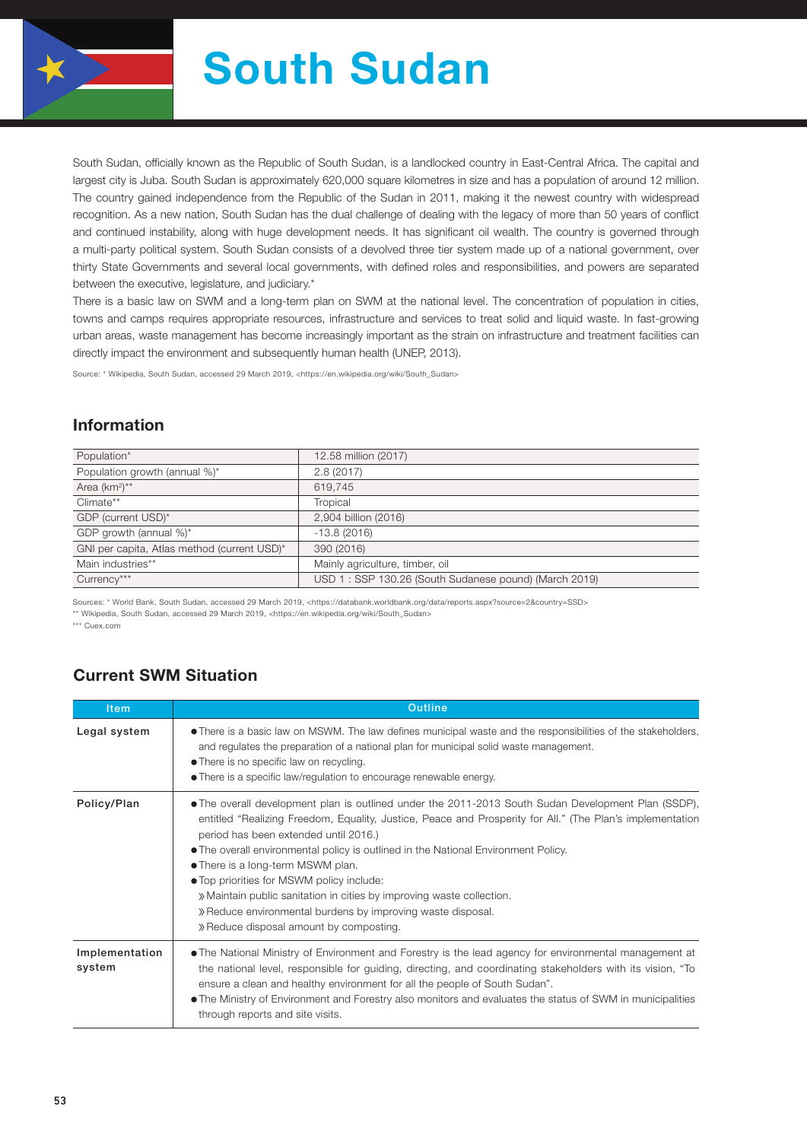

# South Sudan

South Sudan, officially known as the Republic of South Sudan, is a landlocked country in East-Central Africa. The capital and largest city is Juba. South Sudan is approximately 620,000 square kilometres in size and has a population of around 12 million. The country gained independence from the Republic of the Sudan in 2011, making it the newest country with widespread recognition. As a new nation, South Sudan has the dual challenge of dealing with the legacy of more than 50 years of conflict and continued instability, along with huge development needs. It has significant oil wealth. The country is governed through a multi-party political system. South Sudan consists of a devolved three tier system made up of a national government, over thirty State Governments and several local governments, with defined roles and responsibilities, and powers are separated between the executive, legislature, and judiciary.\*

There is a basic law on SWM and a long-term plan on SWM at the national level. The concentration of population in cities, towns and camps requires appropriate resources, infrastructure and services to treat solid and liquid waste. In fast-growing urban areas, waste management has become increasingly important as the strain on infrastructure and treatment facilities can directly impact the environment and subsequently human health (UNEP, 2013).

Source: \* Wikipedia, South Sudan, accessed 29 March 2019, <https://en.wikipedia.org/wiki/South\_Sudan>

#### Information

| Population*                                 | 12.58 million (2017)                                  |
|---------------------------------------------|-------------------------------------------------------|
| Population growth (annual %)*               | 2.8(2017)                                             |
| Area (km <sup>2</sup> )**                   | 619,745                                               |
| Climate**                                   | Tropical                                              |
| GDP (current USD)*                          | 2,904 billion (2016)                                  |
| GDP growth (annual %)*                      | $-13.8(2016)$                                         |
| GNI per capita, Atlas method (current USD)* | 390 (2016)                                            |
| Main industries**                           | Mainly agriculture, timber, oil                       |
| Currency***                                 | USD 1: SSP 130.26 (South Sudanese pound) (March 2019) |
|                                             |                                                       |

Sources: \* World Bank, South Sudan, accessed 29 March 2019, <https://databank.worldbank.org/data/reports.aspx?source=2&country=SSD> \*\* Wikipedia, South Sudan, accessed 29 March 2019, <https://en.wikipedia.org/wiki/South\_Sudan>

\*\*\* Cuex.com

## Current SWM Situation

| <b>Item</b>              | <b>Outline</b>                                                                                                                                                                                                                                                                                                                                                                                                                                                                                                                                                                                                       |
|--------------------------|----------------------------------------------------------------------------------------------------------------------------------------------------------------------------------------------------------------------------------------------------------------------------------------------------------------------------------------------------------------------------------------------------------------------------------------------------------------------------------------------------------------------------------------------------------------------------------------------------------------------|
| Legal system             | • There is a basic law on MSWM. The law defines municipal waste and the responsibilities of the stakeholders,<br>and regulates the preparation of a national plan for municipal solid waste management.<br>• There is no specific law on recycling.<br>• There is a specific law/regulation to encourage renewable energy.                                                                                                                                                                                                                                                                                           |
| Policy/Plan              | • The overall development plan is outlined under the 2011-2013 South Sudan Development Plan (SSDP),<br>entitled "Realizing Freedom, Equality, Justice, Peace and Prosperity for All." (The Plan's implementation<br>period has been extended until 2016.)<br>• The overall environmental policy is outlined in the National Environment Policy.<br>• There is a long-term MSWM plan.<br>• Top priorities for MSWM policy include:<br>» Maintain public sanitation in cities by improving waste collection.<br>» Reduce environmental burdens by improving waste disposal.<br>» Reduce disposal amount by composting. |
| Implementation<br>system | • The National Ministry of Environment and Forestry is the lead agency for environmental management at<br>the national level, responsible for guiding, directing, and coordinating stakeholders with its vision, "To<br>ensure a clean and healthy environment for all the people of South Sudan".<br>• The Ministry of Environment and Forestry also monitors and evaluates the status of SWM in municipalities<br>through reports and site visits.                                                                                                                                                                 |